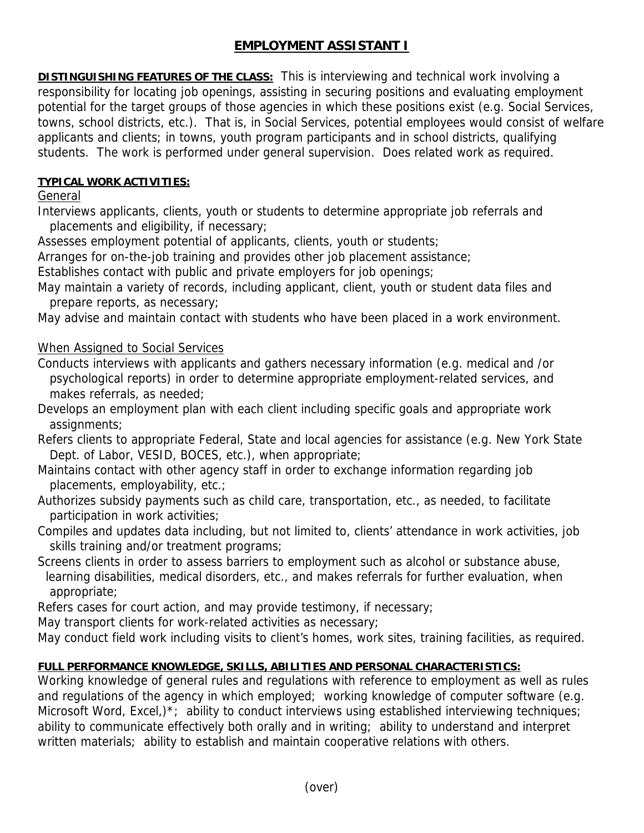# **EMPLOYMENT ASSISTANT I**

**DISTINGUISHING FEATURES OF THE CLASS:** This is interviewing and technical work involving a responsibility for locating job openings, assisting in securing positions and evaluating employment potential for the target groups of those agencies in which these positions exist (e.g. Social Services, towns, school districts, etc.). That is, in Social Services, potential employees would consist of welfare applicants and clients; in towns, youth program participants and in school districts, qualifying students. The work is performed under general supervision. Does related work as required.

### **TYPICAL WORK ACTIVITIES:**

### General

Interviews applicants, clients, youth or students to determine appropriate job referrals and placements and eligibility, if necessary;

Assesses employment potential of applicants, clients, youth or students;

Arranges for on-the-job training and provides other job placement assistance;

Establishes contact with public and private employers for job openings;

May maintain a variety of records, including applicant, client, youth or student data files and prepare reports, as necessary;

May advise and maintain contact with students who have been placed in a work environment.

# When Assigned to Social Services

Conducts interviews with applicants and gathers necessary information (e.g. medical and /or psychological reports) in order to determine appropriate employment-related services, and makes referrals, as needed;

Develops an employment plan with each client including specific goals and appropriate work assignments;

Refers clients to appropriate Federal, State and local agencies for assistance (e.g. New York State Dept. of Labor, VESID, BOCES, etc.), when appropriate;

Maintains contact with other agency staff in order to exchange information regarding job placements, employability, etc.;

Authorizes subsidy payments such as child care, transportation, etc., as needed, to facilitate participation in work activities;

Compiles and updates data including, but not limited to, clients' attendance in work activities, job skills training and/or treatment programs;

Screens clients in order to assess barriers to employment such as alcohol or substance abuse, learning disabilities, medical disorders, etc., and makes referrals for further evaluation, when appropriate;

Refers cases for court action, and may provide testimony, if necessary;

May transport clients for work-related activities as necessary;

May conduct field work including visits to client's homes, work sites, training facilities, as required.

# **FULL PERFORMANCE KNOWLEDGE, SKILLS, ABILITIES AND PERSONAL CHARACTERISTICS:**

Working knowledge of general rules and regulations with reference to employment as well as rules and regulations of the agency in which employed; working knowledge of computer software (e.g. Microsoft Word, Excel,)<sup>\*</sup>; ability to conduct interviews using established interviewing techniques; ability to communicate effectively both orally and in writing; ability to understand and interpret written materials; ability to establish and maintain cooperative relations with others.